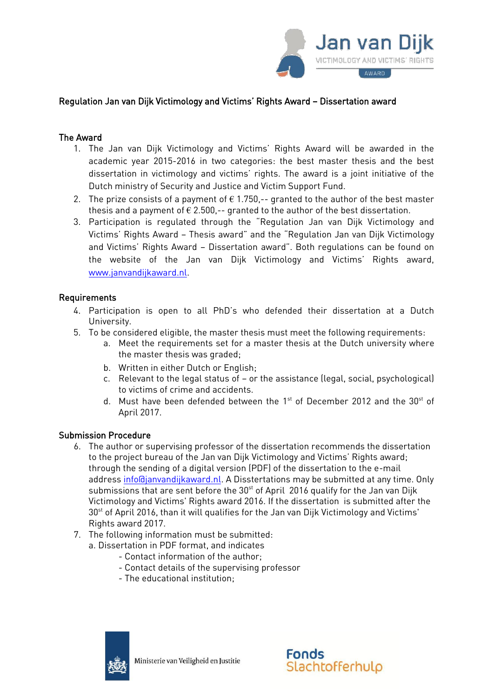

# Regulation Jan van Dijk Victimology and Victims' Rights Award – Dissertation award

### The Award

- 1. The Jan van Dijk Victimology and Victims' Rights Award will be awarded in the academic year 2015-2016 in two categories: the best master thesis and the best dissertation in victimology and victims' rights. The award is a joint initiative of the Dutch ministry of Security and Justice and Victim Support Fund.
- 2. The prize consists of a payment of  $\epsilon$  1.750,-- granted to the author of the best master thesis and a payment of  $\epsilon$  2.500,-- granted to the author of the best dissertation.
- 3. Participation is regulated through the "Regulation Jan van Dijk Victimology and Victims' Rights Award – Thesis award" and the "Regulation Jan van Dijk Victimology and Victims' Rights Award – Dissertation award". Both regulations can be found on the website of the Jan van Dijk Victimology and Victims' Rights award, www.janvandijkaward.nl.

## Requirements

- 4. Participation is open to all PhD's who defended their dissertation at a Dutch University.
- 5. To be considered eligible, the master thesis must meet the following requirements:
	- a. Meet the requirements set for a master thesis at the Dutch university where the master thesis was graded;
	- b. Written in either Dutch or English;
	- c. Relevant to the legal status of or the assistance (legal, social, psychological) to victims of crime and accidents.
	- d. Must have been defended between the 1<sup>st</sup> of December 2012 and the 30<sup>st</sup> of April 2017.

#### Submission Procedure

- 6. The author or supervising professor of the dissertation recommends the dissertation to the project bureau of the Jan van Dijk Victimology and Victims' Rights award; through the sending of a digital version (PDF) of the dissertation to the e-mail address [info@janvandijkaward.nl.](mailto:info@janvandijkaward.nl) A Disstertations may be submitted at any time. Only submissions that are sent before the  $30<sup>st</sup>$  of April 2016 qualify for the Jan van Dijk Victimology and Victims' Rights award 2016. If the dissertation is submitted after the 30<sup>st</sup> of April 2016, than it will qualifies for the Jan van Dijk Victimology and Victims' Rights award 2017.
- 7. The following information must be submitted:
	- a. Dissertation in PDF format, and indicates
		- Contact information of the author;
		- Contact details of the supervising professor
		- The educational institution;



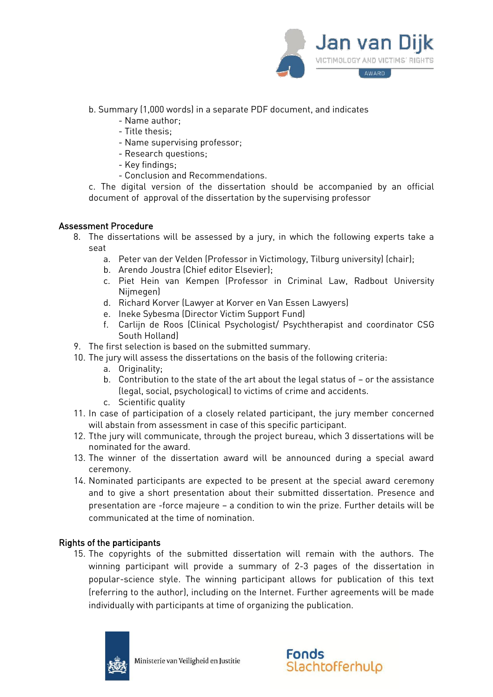

- b. Summary (1,000 words) in a separate PDF document, and indicates
	- Name author;
	- Title thesis;
	- Name supervising professor;
	- Research questions;
	- Key findings;
	- Conclusion and Recommendations.

c. The digital version of the dissertation should be accompanied by an official document of approval of the dissertation by the supervising professor

#### Assessment Procedure

- 8. The dissertations will be assessed by a jury, in which the following experts take a seat
	- a. Peter van der Velden (Professor in Victimology, Tilburg university) (chair);
	- b. Arendo Joustra (Chief editor Elsevier);
	- c. Piet Hein van Kempen (Professor in Criminal Law, Radbout University Nijmegen)
	- d. Richard Korver (Lawyer at Korver en Van Essen Lawyers)
	- e. Ineke Sybesma (Director Victim Support Fund)
	- f. Carlijn de Roos (Clinical Psychologist/ Psychtherapist and coordinator CSG South Holland)
- 9. The first selection is based on the submitted summary.
- 10. The jury will assess the dissertations on the basis of the following criteria:
	- a. Originality;
	- b. Contribution to the state of the art about the legal status of or the assistance (legal, social, psychological) to victims of crime and accidents.
	- c. Scientific quality
- 11. In case of participation of a closely related participant, the jury member concerned will abstain from assessment in case of this specific participant.
- 12. Tthe jury will communicate, through the project bureau, which 3 dissertations will be nominated for the award.
- 13. The winner of the dissertation award will be announced during a special award ceremony.
- 14. Nominated participants are expected to be present at the special award ceremony and to give a short presentation about their submitted dissertation. Presence and presentation are -force majeure – a condition to win the prize. Further details will be communicated at the time of nomination.

## Rights of the participants

15. The copyrights of the submitted dissertation will remain with the authors. The winning participant will provide a summary of 2-3 pages of the dissertation in popular-science style. The winning participant allows for publication of this text (referring to the author), including on the Internet. Further agreements will be made individually with participants at time of organizing the publication.